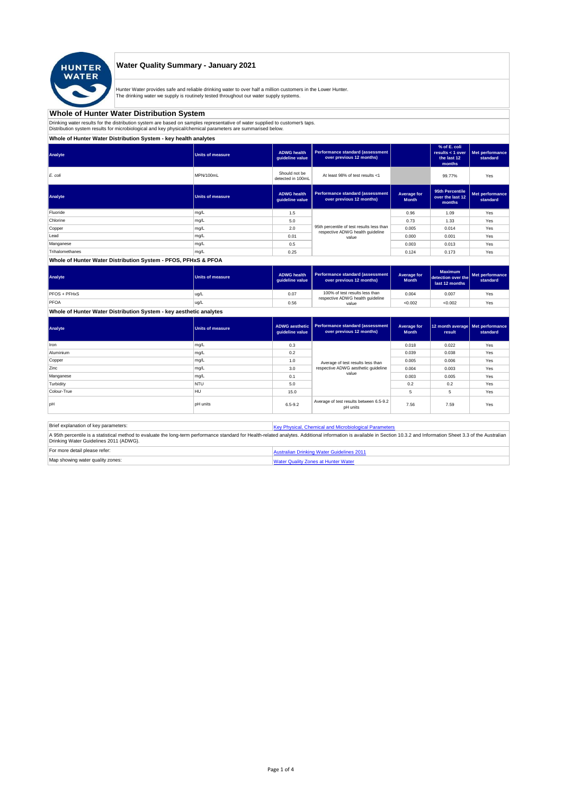

## **Water Quality Summary - January 2021**

Hunter Water provides safe and reliable drinking water to over half a million customers in the Lower Hunter.<br>The drinking water we supply is routinely tested throughout our water supply systems.

### **Whole of Hunter Water Distribution System**

Drinking water results for the distribution system are based on samples representative of water supplied to customer's taps.<br>Distribution system results for microbiological and key physical/chemical parameters are summaris

### **Whole of Hunter Water Distribution System - key health analytes**

| <b>Units of measure</b> | <b>ADWG health</b><br>quideline value | Performance standard (assessment<br>over previous 12 months)        |                                                                               | % of E. coli<br>results $<$ 1 over<br>the last 12<br>months | Met performance<br>standard |
|-------------------------|---------------------------------------|---------------------------------------------------------------------|-------------------------------------------------------------------------------|-------------------------------------------------------------|-----------------------------|
| MPN/100mL               | Should not be<br>detected in 100mL    | At least 98% of test results <1                                     |                                                                               | 99.77%                                                      | Yes                         |
| <b>Units of measure</b> | <b>ADWG</b> health<br>guideline value | <b>Performance standard (assessment</b><br>over previous 12 months) | Average for<br><b>Month</b>                                                   | 95th Percentile<br>over the last 12<br>months               | Met performance<br>standard |
| mg/L                    | 1.5                                   |                                                                     | 0.96                                                                          | 1.09                                                        | Yes                         |
| mg/L                    | 5.0                                   |                                                                     | 0.73                                                                          | 1.33                                                        | Yes                         |
| mg/L                    | 2.0                                   |                                                                     | 0.005                                                                         | 0.014                                                       | Yes                         |
| mg/L                    | 0.01                                  | value                                                               | 0.000                                                                         | 0.001                                                       | Yes                         |
| mg/L                    | 0.5                                   |                                                                     | 0.003                                                                         | 0.013                                                       | Yes                         |
| mg/L                    | 0.25                                  |                                                                     | 0.124                                                                         | 0.173                                                       | Yes                         |
|                         |                                       |                                                                     | 95th percentile of test results less than<br>respective ADWG health guideline |                                                             |                             |

#### **Whole of Hunter Water Distribution System - PFOS, PFHxS & PFOA**

| Analyte      | Units of measure | <b>ADWG health</b><br>quideline value | Performance standard (assessment<br>over previous 12 months)       | Average for<br><b>Month</b> | <b>Maximum</b><br>detection over the<br>last 12 months | Met performance<br>standard |
|--------------|------------------|---------------------------------------|--------------------------------------------------------------------|-----------------------------|--------------------------------------------------------|-----------------------------|
| PFOS + PFHxS | ug/L             | 0.07                                  | 100% of test results less than<br>respective ADWG health guideline | 0.004                       | 0.007                                                  | Yes                         |
| PFOA         | ug/L             | 0.56                                  | value                                                              | < 0.002                     | < 0.002                                                | Yes                         |

**Whole of Hunter Water Distribution System - key aesthetic analytes**

| Analyte     | Units of measure | ADWG aesthetic<br>guideline value | <b>Performance standard (assessment</b><br>over previous 12 months) | Average for<br><b>Month</b> | 12 month average   Met performance<br>result | standard |
|-------------|------------------|-----------------------------------|---------------------------------------------------------------------|-----------------------------|----------------------------------------------|----------|
| Iron        | mg/L             | 0.3                               |                                                                     | 0.018                       | 0.022                                        | Yes      |
| Aluminium   | mg/L             | 0.2                               |                                                                     | 0.039                       | 0.038                                        | Yes      |
| Copper      | mg/L             | 1.0                               | Average of test results less than                                   | 0.005                       | 0.006                                        | Yes      |
| Zinc        | mg/L             | 3.0                               | respective ADWG aesthetic quideline                                 | 0.004                       | 0.003                                        | Yes      |
| Manganese   | mg/L             | 0.1                               | value                                                               | 0.003                       | 0.005                                        | Yes      |
| Turbidity   | <b>NTU</b>       | 5.0                               |                                                                     | 0.2                         | 0.2                                          | Yes      |
| Colour-True | HU               | 15.0                              |                                                                     | 5                           | 5                                            | Yes      |
| lpH         | <b>pH</b> units  | $6.5 - 9.2$                       | Average of test results between 6.5-9.2<br>pH units                 | 7.56                        | 7.59                                         | Yes      |

Brief explanation of key parameters: [Key Physical, Che](http://www.hunterwater.com.au/Resources/Documents/Fact-Sheets/Water-Quality/Key-WQ-Parameters.pdf)mical and Microbiological Parameters A 95th percentile is a statistical method to evaluate the long-term performance standard for Health-related analytes. Additional information is available in Section 10.3.2 and Information Sheet 3.3 of the Australian<br>Drinki For more detail please refer: [Australian Drinkin](http://www.nhmrc.gov.au/guidelines/publications/eh52)g Water Guidelines 2011

|                                  | sualian Dhinking water Guidelines ZVT |
|----------------------------------|---------------------------------------|
| Map showing water quality zones: | I Water Quality Zones at Hunter Water |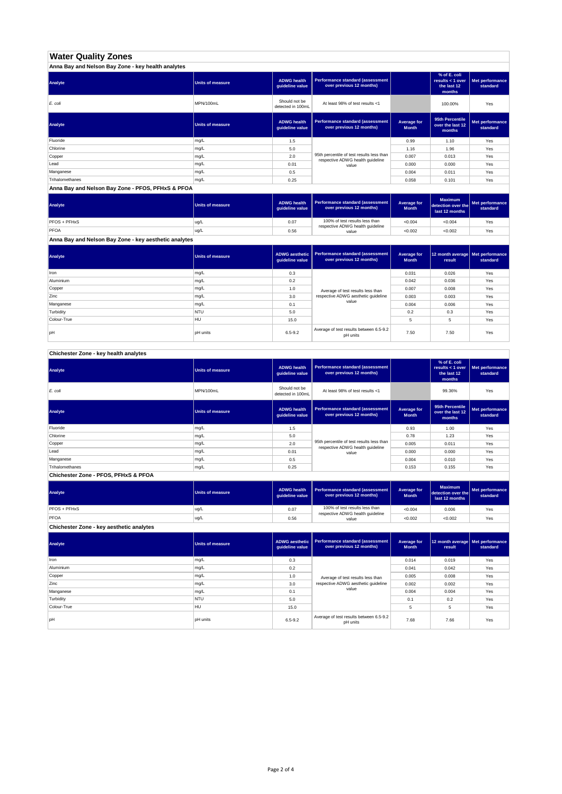# **Water Quality Zones**

| Anna Bay and Nelson Bay Zone - key health analytes |                         |                                       |                                                                               |                             |                                                           |                             |  |
|----------------------------------------------------|-------------------------|---------------------------------------|-------------------------------------------------------------------------------|-----------------------------|-----------------------------------------------------------|-----------------------------|--|
| Analyte                                            | <b>Units of measure</b> | <b>ADWG health</b><br>quideline value | Performance standard (assessment<br>over previous 12 months)                  |                             | % of E. coli<br>results < 1 over<br>the last 12<br>months | Met performance<br>standard |  |
| E. coli                                            | MPN/100mL               | Should not be<br>detected in 100mL    | At least 98% of test results <1                                               |                             | 100.00%                                                   | Yes                         |  |
| Analyte                                            | <b>Units of measure</b> | <b>ADWG health</b><br>quideline value | Performance standard (assessment<br>over previous 12 months)                  | Average for<br><b>Month</b> | 95th Percentile<br>over the last 12<br>months             | Met performance<br>standard |  |
| Fluoride                                           | mg/L                    | 1.5                                   |                                                                               | 0.99                        | 1.10                                                      | Yes                         |  |
| Chlorine                                           | mg/L                    | 5.0                                   |                                                                               | 1.16                        | 1.96                                                      | Yes                         |  |
| Copper                                             | mg/L                    | 2.0                                   | 95th percentile of test results less than<br>respective ADWG health guideline | 0.007                       | 0.013                                                     | Yes                         |  |
| Lead                                               | mg/L                    | 0.01                                  | value                                                                         | 0.000                       | 0.000                                                     | Yes                         |  |
| Manganese                                          | mg/L                    | 0.5                                   |                                                                               | 0.004                       | 0.011                                                     | Yes                         |  |
| Trihalomethanes                                    | mg/L                    | 0.25                                  |                                                                               | 0.058                       | 0.101                                                     | Yes                         |  |

### **Anna Bay and Nelson Bay Zone - PFOS, PFHxS & PFOA**

| Analyte                                               | Units of measure | <b>ADWG health</b><br>quideline value | Performance standard (assessment<br>over previous 12 months)       | Average for<br><b>Month</b> | <b>Maximum</b><br>detection over the<br>last 12 months | Met performance<br>standard |
|-------------------------------------------------------|------------------|---------------------------------------|--------------------------------------------------------------------|-----------------------------|--------------------------------------------------------|-----------------------------|
| PFOS + PFHxS                                          | lug/L            | 0.07                                  | 100% of test results less than<br>respective ADWG health guideline | < 0.004                     | < 0.004                                                | Yes                         |
| PFOA                                                  | ug/L             | 0.56                                  | value                                                              | < 0.002                     | < 0.002                                                | Yes                         |
| Anna Bay and Nelson Bay Zone - key aesthetic analytes |                  |                                       |                                                                    |                             |                                                        |                             |

| Analyte     | <b>Units of measure</b> | <b>ADWG aesthetic</b><br>guideline value | Performance standard (assessment<br>over previous 12 months) | Average for<br><b>Month</b> | 12 month average   Met performance<br>result | standard |
|-------------|-------------------------|------------------------------------------|--------------------------------------------------------------|-----------------------------|----------------------------------------------|----------|
| Iron        | mg/L                    | 0.3                                      |                                                              | 0.031                       | 0.026                                        | Yes      |
| Aluminium   | mg/L                    | 0.2                                      |                                                              | 0.042                       | 0.036                                        | Yes      |
| Copper      | mg/L                    | 1.0                                      | Average of test results less than                            | 0.007                       | 0.008                                        | Yes      |
| Zinc        | mg/L                    | 3.0                                      | respective ADWG aesthetic quideline                          | 0.003                       | 0.003                                        | Yes      |
| Manganese   | mg/L                    | 0.1                                      | value                                                        | 0.004                       | 0.006                                        | Yes      |
| Turbidity   | <b>NTU</b>              | 5.0                                      |                                                              | 0.2                         | 0.3                                          | Yes      |
| Colour-True | <b>HU</b>               | 15.0                                     |                                                              | 5                           | 5                                            | Yes      |
| pH          | pH units                | $6.5 - 9.2$                              | Average of test results between 6.5-9.2<br>pH units          | 7.50                        | 7.50                                         | Yes      |

### **Chichester Zone - key health analytes**

| Analyte         | <b>Units of measure</b> | <b>ADWG health</b><br>quideline value | Performance standard (assessment<br>over previous 12 months)                  |                             | % of E. coli<br>results < 1 over<br>the last 12<br>months | Met performance<br>standard |
|-----------------|-------------------------|---------------------------------------|-------------------------------------------------------------------------------|-----------------------------|-----------------------------------------------------------|-----------------------------|
| E. coli         | MPN/100mL               | Should not be<br>detected in 100mL    | At least 98% of test results <1                                               |                             | 99.36%                                                    | Yes                         |
| Analyte         | <b>Units of measure</b> | <b>ADWG health</b><br>guideline value | Performance standard (assessment<br>over previous 12 months)                  | Average for<br><b>Month</b> | 95th Percentile<br>over the last 12<br>months             | Met performance<br>standard |
| Fluoride        | mg/L                    | 1.5                                   |                                                                               | 0.93                        | 1.00                                                      | Yes                         |
| Chlorine        | mg/L                    | 5.0                                   |                                                                               | 0.78                        | 1.23                                                      | Yes                         |
| Copper          | mg/L                    | 2.0                                   | 95th percentile of test results less than<br>respective ADWG health guideline | 0.005                       | 0.011                                                     | Yes                         |
| Lead            | mg/L                    | 0.01                                  | value                                                                         | 0.000                       | 0.000                                                     | Yes                         |
| Manganese       | mg/L                    | 0.5                                   |                                                                               | 0.004                       | 0.010                                                     | Yes                         |
| Trihalomethanes | mg/L                    | 0.25                                  |                                                                               | 0.153                       | 0.155                                                     | Yes                         |

**Chichester Zone - PFOS, PFHxS & PFOA**

| Analyte             | Units of measure | <b>ADWG health</b><br>quideline value | Performance standard (assessment<br>over previous 12 months)       | Average for<br><b>Month</b> | <b>Maximum</b><br>detection over the<br>last 12 months | Met performance<br>standard |
|---------------------|------------------|---------------------------------------|--------------------------------------------------------------------|-----------------------------|--------------------------------------------------------|-----------------------------|
| <b>PFOS + PFHxS</b> | ug/L             | 0.07                                  | 100% of test results less than<br>respective ADWG health guideline | < 0.004                     | 0.006                                                  | Yes                         |
| PFOA                | ug/L             | 0.56                                  | value                                                              | < 0.002                     | < 0.002                                                | Yes                         |

**Chichester Zone - key aesthetic analytes**

| Analyte     | <b>Units of measure</b> | guideline value | ADWG aesthetic   Performance standard (assessment  <br>over previous 12 months) | Average for<br><b>Month</b> | 12 month average   Met performance<br>result | standard |
|-------------|-------------------------|-----------------|---------------------------------------------------------------------------------|-----------------------------|----------------------------------------------|----------|
| Iron        | mg/L                    | 0.3             |                                                                                 | 0.014                       | 0.019                                        | Yes      |
| Aluminium   | mg/L                    | 0.2             |                                                                                 | 0.041                       | 0.042                                        | Yes      |
| Copper      | mg/L                    | 1.0             | Average of test results less than                                               | 0.005                       | 0.008                                        | Yes      |
| Zinc        | mg/L                    | 3.0             | respective ADWG aesthetic quideline                                             | 0.002                       | 0.002                                        | Yes      |
| Manganese   | mg/L                    | 0.1             | value                                                                           | 0.004                       | 0.004                                        | Yes      |
| Turbidity   | <b>NTU</b>              | 5.0             |                                                                                 | 0.1                         | 0.2                                          | Yes      |
| Colour-True | <b>HU</b>               | 15.0            |                                                                                 | 5                           | 5                                            | Yes      |
| lpH         | <b>pH</b> units         | $6.5 - 9.2$     | Average of test results between 6.5-9.2<br>pH units                             | 7.68                        | 7.66                                         | Yes      |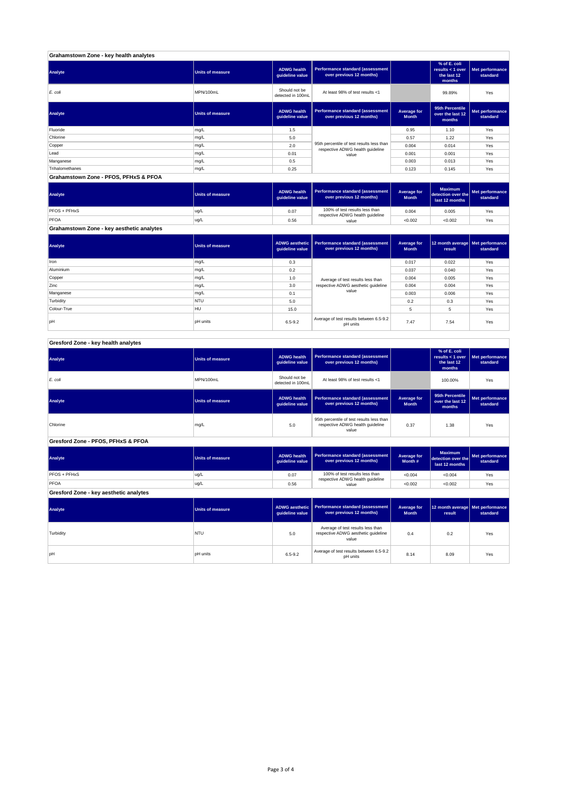| Grahamstown Zone - key health analytes |                  |                                       |                                                                               |                             |                                                             |                             |
|----------------------------------------|------------------|---------------------------------------|-------------------------------------------------------------------------------|-----------------------------|-------------------------------------------------------------|-----------------------------|
| Analyte                                | Units of measure | <b>ADWG health</b><br>quideline value | Performance standard (assessment<br>over previous 12 months)                  |                             | % of E. coli<br>results $<$ 1 over<br>the last 12<br>months | Met performance<br>standard |
| E. coli                                | MPN/100mL        | Should not be<br>detected in 100mL    | At least 98% of test results <1                                               |                             | 99.89%                                                      | Yes                         |
| Analyte                                | Units of measure | <b>ADWG health</b><br>guideline value | Performance standard (assessment<br>over previous 12 months)                  | Average for<br><b>Month</b> | 95th Percentile<br>over the last 12<br>months               | Met performance<br>standard |
| Fluoride                               | mg/L             | 1.5                                   |                                                                               | 0.95                        | 1.10                                                        | Yes                         |
| Chlorine                               | mg/L             | 5.0                                   |                                                                               | 0.57                        | 1.22                                                        | Yes                         |
| Copper                                 | mg/L             | 2.0                                   | 95th percentile of test results less than<br>respective ADWG health guideline | 0.004                       | 0.014                                                       | Yes                         |
| Lead                                   | mg/L             | 0.01                                  | value                                                                         | 0.001                       | 0.001                                                       | Yes                         |
| Manganese                              | mg/L             | 0.5                                   |                                                                               | 0.003                       | 0.013                                                       | Yes                         |
| Trihalomethanes                        | mg/L             | 0.25                                  |                                                                               | 0.123                       | 0.145                                                       | Yes                         |

**Grahamstown Zone - PFOS, PFHxS & PFOA**

| Analyte                                   | Units of measure | <b>ADWG health</b><br>guideline value | Performance standard (assessment<br>over previous 12 months)       | Average for<br><b>Month</b> | <b>Maximum</b><br>detection over the<br>last 12 months | Met performance<br>standard |
|-------------------------------------------|------------------|---------------------------------------|--------------------------------------------------------------------|-----------------------------|--------------------------------------------------------|-----------------------------|
| PFOS + PFHxS                              | ug/L             | 0.07                                  | 100% of test results less than<br>respective ADWG health guideline | 0.004                       | 0.005                                                  | Yes                         |
| PFOA                                      | ug/L             | 0.56                                  | value                                                              | < 0.002                     | < 0.002                                                | Yes                         |
| Grahamstown Zone - key aesthetic analytes |                  |                                       |                                                                    |                             |                                                        |                             |

| Analyte     | <b>Units of measure</b> | ADWG aesthetic<br>quideline value | Performance standard (assessment<br>over previous 12 months) | Average for<br><b>Month</b> | 12 month average   Met performance<br>result | standard |
|-------------|-------------------------|-----------------------------------|--------------------------------------------------------------|-----------------------------|----------------------------------------------|----------|
| Iron        | mg/L                    | 0.3                               |                                                              | 0.017                       | 0.022                                        | Yes      |
| Aluminium   | mg/L                    | 0.2                               |                                                              | 0.037                       | 0.040                                        | Yes      |
| Copper      | mg/L                    | 1.0                               | Average of test results less than                            | 0.004                       | 0.005                                        | Yes      |
| Zinc        | mg/L                    | 3.0                               | respective ADWG aesthetic quideline                          | 0.004                       | 0.004                                        | Yes      |
| Manganese   | mg/L                    | 0.1                               | value                                                        | 0.003                       | 0.006                                        | Yes      |
| Turbidity   | <b>NTU</b>              | 5.0                               |                                                              | 0.2                         | 0.3                                          | Yes      |
| Colour-True | <b>HU</b>               | 15.0                              |                                                              |                             | 5                                            | Yes      |
| pH          | pH units                | $6.5 - 9.2$                       | Average of test results between 6.5-9.2<br>pH units          | 7.47                        | 7.54                                         | Yes      |

### **Gresford Zone - key health analytes**

| Analyte                                | <b>Units of measure</b> | <b>ADWG health</b><br>guideline value    | <b>Performance standard (assessment</b><br>over previous 12 months)                    |                                    | % of E. coli<br>results < $1$ over<br>the last 12<br>months | Met performance<br>standard |
|----------------------------------------|-------------------------|------------------------------------------|----------------------------------------------------------------------------------------|------------------------------------|-------------------------------------------------------------|-----------------------------|
| E. coli                                | MPN/100mL               | Should not be<br>detected in 100mL       | At least 98% of test results <1                                                        |                                    | 100.00%                                                     | Yes                         |
| Analyte                                | <b>Units of measure</b> | <b>ADWG health</b><br>guideline value    | <b>Performance standard (assessment</b><br>over previous 12 months)                    | Average for<br><b>Month</b>        | 95th Percentile<br>over the last 12<br>months               | Met performance<br>standard |
| Chlorine                               | mg/L                    | 5.0                                      | 95th percentile of test results less than<br>respective ADWG health guideline<br>value | 0.37                               | 1.38                                                        | Yes                         |
| Gresford Zone - PFOS, PFHxS & PFOA     |                         |                                          |                                                                                        |                                    |                                                             |                             |
| Analyte                                | <b>Units of measure</b> | <b>ADWG health</b><br>guideline value    | <b>Performance standard (assessment</b><br>over previous 12 months)                    | Average for<br>Month #             | <b>Maximum</b><br>detection over the<br>last 12 months      | Met performance<br>standard |
| PFOS + PFHxS                           | ug/L                    | 0.07                                     | 100% of test results less than<br>respective ADWG health guideline                     | < 0.004                            | < 0.004                                                     | Yes                         |
| <b>PFOA</b>                            | ug/L                    | 0.56                                     | value                                                                                  | < 0.002                            | < 0.002                                                     | Yes                         |
| Gresford Zone - key aesthetic analytes |                         |                                          |                                                                                        |                                    |                                                             |                             |
| Analyte                                | <b>Units of measure</b> | <b>ADWG aesthetic</b><br>guideline value | <b>Performance standard (assessment</b><br>over previous 12 months)                    | <b>Average for</b><br><b>Month</b> | 12 month average<br>result                                  | Met performance<br>standard |
| Turbidity                              | NTU                     | 5.0                                      | Average of test results less than<br>respective ADWG aesthetic quideline<br>value      | 0.4                                | 0.2                                                         | Yes                         |
| pH                                     | <b>pH</b> units         | 6.5-9.2                                  | Average of test results between 6.5-9.2<br>pH units                                    | 8.14                               | 8.09                                                        | Yes                         |